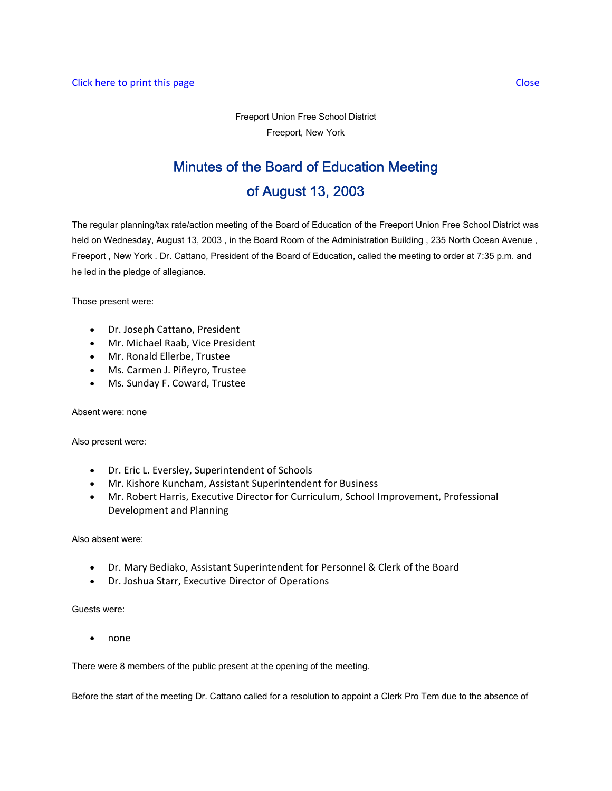Freeport Union Free School District Freeport, New York

# Minutes of the Board of Education Meeting of August 13, 2003

The regular planning/tax rate/action meeting of the Board of Education of the Freeport Union Free School District was held on Wednesday, August 13, 2003 , in the Board Room of the Administration Building , 235 North Ocean Avenue , Freeport , New York . Dr. Cattano, President of the Board of Education, called the meeting to order at 7:35 p.m. and he led in the pledge of allegiance.

Those present were:

- Dr. Joseph Cattano, President
- Mr. Michael Raab, Vice President
- Mr. Ronald Ellerbe, Trustee
- Ms. Carmen J. Piñeyro, Trustee
- Ms. Sunday F. Coward, Trustee

Absent were: none

Also present were:

- Dr. Eric L. Eversley, Superintendent of Schools
- Mr. Kishore Kuncham, Assistant Superintendent for Business
- Mr. Robert Harris, Executive Director for Curriculum, School Improvement, Professional Development and Planning

Also absent were:

- Dr. Mary Bediako, Assistant Superintendent for Personnel & Clerk of the Board
- Dr. Joshua Starr, Executive Director of Operations

Guests were:

• none

There were 8 members of the public present at the opening of the meeting.

Before the start of the meeting Dr. Cattano called for a resolution to appoint a Clerk Pro Tem due to the absence of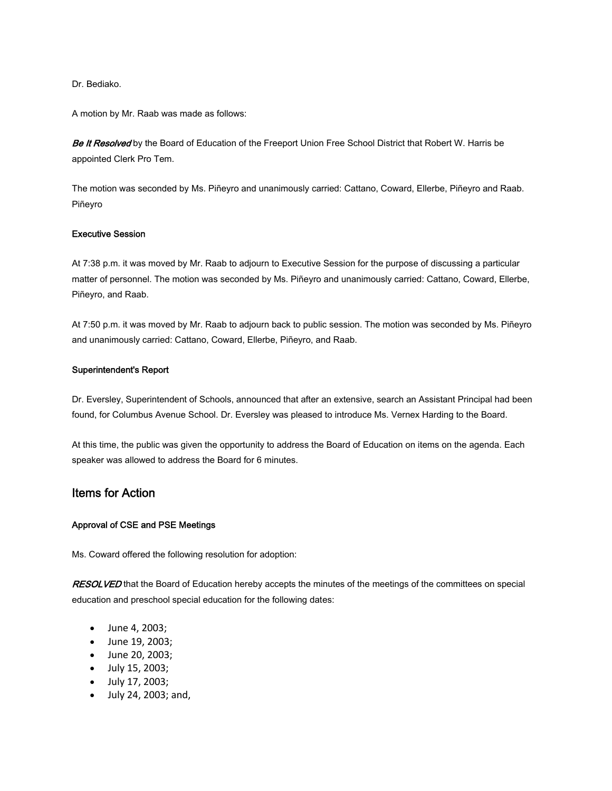Dr. Bediako.

A motion by Mr. Raab was made as follows:

Be It Resolved by the Board of Education of the Freeport Union Free School District that Robert W. Harris be appointed Clerk Pro Tem.

The motion was seconded by Ms. Piñeyro and unanimously carried: Cattano, Coward, Ellerbe, Piñeyro and Raab. Piñeyro

#### Executive Session

At 7:38 p.m. it was moved by Mr. Raab to adjourn to Executive Session for the purpose of discussing a particular matter of personnel. The motion was seconded by Ms. Piñeyro and unanimously carried: Cattano, Coward, Ellerbe, Piñeyro, and Raab.

At 7:50 p.m. it was moved by Mr. Raab to adjourn back to public session. The motion was seconded by Ms. Piñeyro and unanimously carried: Cattano, Coward, Ellerbe, Piñeyro, and Raab.

#### Superintendent's Report

Dr. Eversley, Superintendent of Schools, announced that after an extensive, search an Assistant Principal had been found, for Columbus Avenue School. Dr. Eversley was pleased to introduce Ms. Vernex Harding to the Board.

At this time, the public was given the opportunity to address the Board of Education on items on the agenda. Each speaker was allowed to address the Board for 6 minutes.

# Items for Action

#### Approval of CSE and PSE Meetings

Ms. Coward offered the following resolution for adoption:

RESOLVED that the Board of Education hereby accepts the minutes of the meetings of the committees on special education and preschool special education for the following dates:

- June 4, 2003;
- June 19, 2003;
- June 20, 2003;
- July 15, 2003;
- July 17, 2003;
- July 24, 2003; and,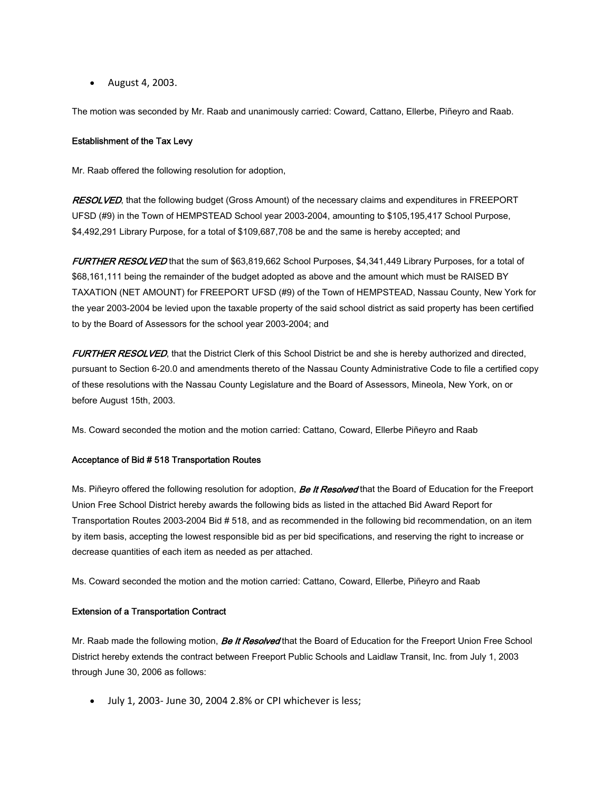• August 4, 2003.

The motion was seconded by Mr. Raab and unanimously carried: Coward, Cattano, Ellerbe, Piñeyro and Raab.

#### Establishment of the Tax Levy

Mr. Raab offered the following resolution for adoption,

RESOLVED, that the following budget (Gross Amount) of the necessary claims and expenditures in FREEPORT UFSD (#9) in the Town of HEMPSTEAD School year 2003-2004, amounting to \$105,195,417 School Purpose, \$4,492,291 Library Purpose, for a total of \$109,687,708 be and the same is hereby accepted; and

FURTHER RESOLVED that the sum of \$63,819,662 School Purposes, \$4,341,449 Library Purposes, for a total of \$68,161,111 being the remainder of the budget adopted as above and the amount which must be RAISED BY TAXATION (NET AMOUNT) for FREEPORT UFSD (#9) of the Town of HEMPSTEAD, Nassau County, New York for the year 2003-2004 be levied upon the taxable property of the said school district as said property has been certified to by the Board of Assessors for the school year 2003-2004; and

FURTHER RESOLVED, that the District Clerk of this School District be and she is hereby authorized and directed, pursuant to Section 6-20.0 and amendments thereto of the Nassau County Administrative Code to file a certified copy of these resolutions with the Nassau County Legislature and the Board of Assessors, Mineola, New York, on or before August 15th, 2003.

Ms. Coward seconded the motion and the motion carried: Cattano, Coward, Ellerbe Piñeyro and Raab

#### Acceptance of Bid # 518 Transportation Routes

Ms. Piñeyro offered the following resolution for adoption, *Be It Resolved* that the Board of Education for the Freeport Union Free School District hereby awards the following bids as listed in the attached Bid Award Report for Transportation Routes 2003-2004 Bid # 518, and as recommended in the following bid recommendation, on an item by item basis, accepting the lowest responsible bid as per bid specifications, and reserving the right to increase or decrease quantities of each item as needed as per attached.

Ms. Coward seconded the motion and the motion carried: Cattano, Coward, Ellerbe, Piñeyro and Raab

#### Extension of a Transportation Contract

Mr. Raab made the following motion, *Be It Resolved* that the Board of Education for the Freeport Union Free School District hereby extends the contract between Freeport Public Schools and Laidlaw Transit, Inc. from July 1, 2003 through June 30, 2006 as follows:

• July 1, 2003- June 30, 2004 2.8% or CPI whichever is less;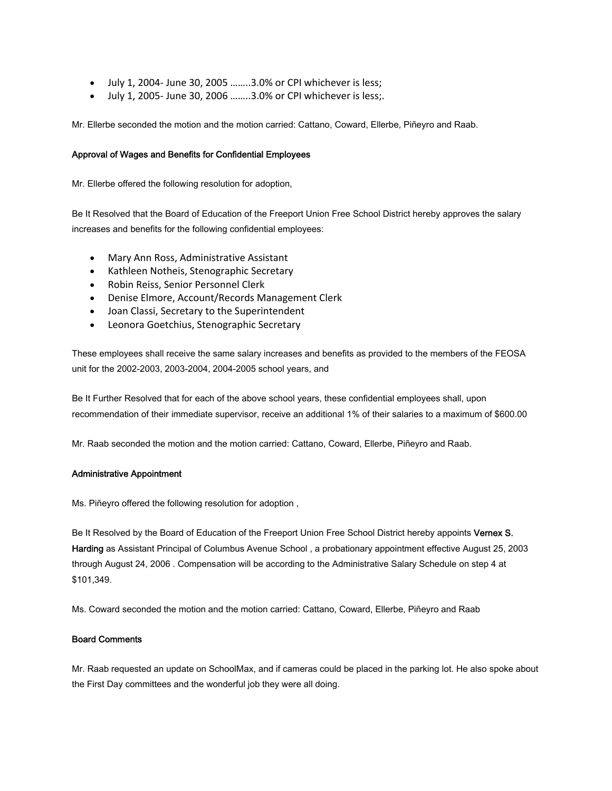- July 1, 2004- June 30, 2005 ........3.0% or CPI whichever is less;
- July 1, 2005- June 30, 2006 ........3.0% or CPI whichever is less;.

Mr. Ellerbe seconded the motion and the motion carried: Cattano, Coward, Ellerbe, Piñeyro and Raab.

## Approval of Wages and Benefits for Confidential Employees

Mr. Ellerbe offered the following resolution for adoption,

Be It Resolved that the Board of Education of the Freeport Union Free School District hereby approves the salary increases and benefits for the following confidential employees:

- Mary Ann Ross, Administrative Assistant
- Kathleen Notheis, Stenographic Secretary
- Robin Reiss, Senior Personnel Clerk
- Denise Elmore, Account/Records Management Clerk
- Joan Classi, Secretary to the Superintendent
- Leonora Goetchius, Stenographic Secretary

These employees shall receive the same salary increases and benefits as provided to the members of the FEOSA unit for the 2002-2003, 2003-2004, 2004-2005 school years, and

Be It Further Resolved that for each of the above school years, these confidential employees shall, upon recommendation of their immediate supervisor, receive an additional 1% of their salaries to a maximum of \$600.00

Mr. Raab seconded the motion and the motion carried: Cattano, Coward, Ellerbe, Piñeyro and Raab.

#### Administrative Appointment

Ms. Piñeyro offered the following resolution for adoption ,

Be It Resolved by the Board of Education of the Freeport Union Free School District hereby appoints Vernex S. Harding as Assistant Principal of Columbus Avenue School , a probationary appointment effective August 25, 2003 through August 24, 2006 . Compensation will be according to the Administrative Salary Schedule on step 4 at \$101,349.

Ms. Coward seconded the motion and the motion carried: Cattano, Coward, Ellerbe, Piñeyro and Raab

#### Board Comments

Mr. Raab requested an update on SchoolMax, and if cameras could be placed in the parking lot. He also spoke about the First Day committees and the wonderful job they were all doing.